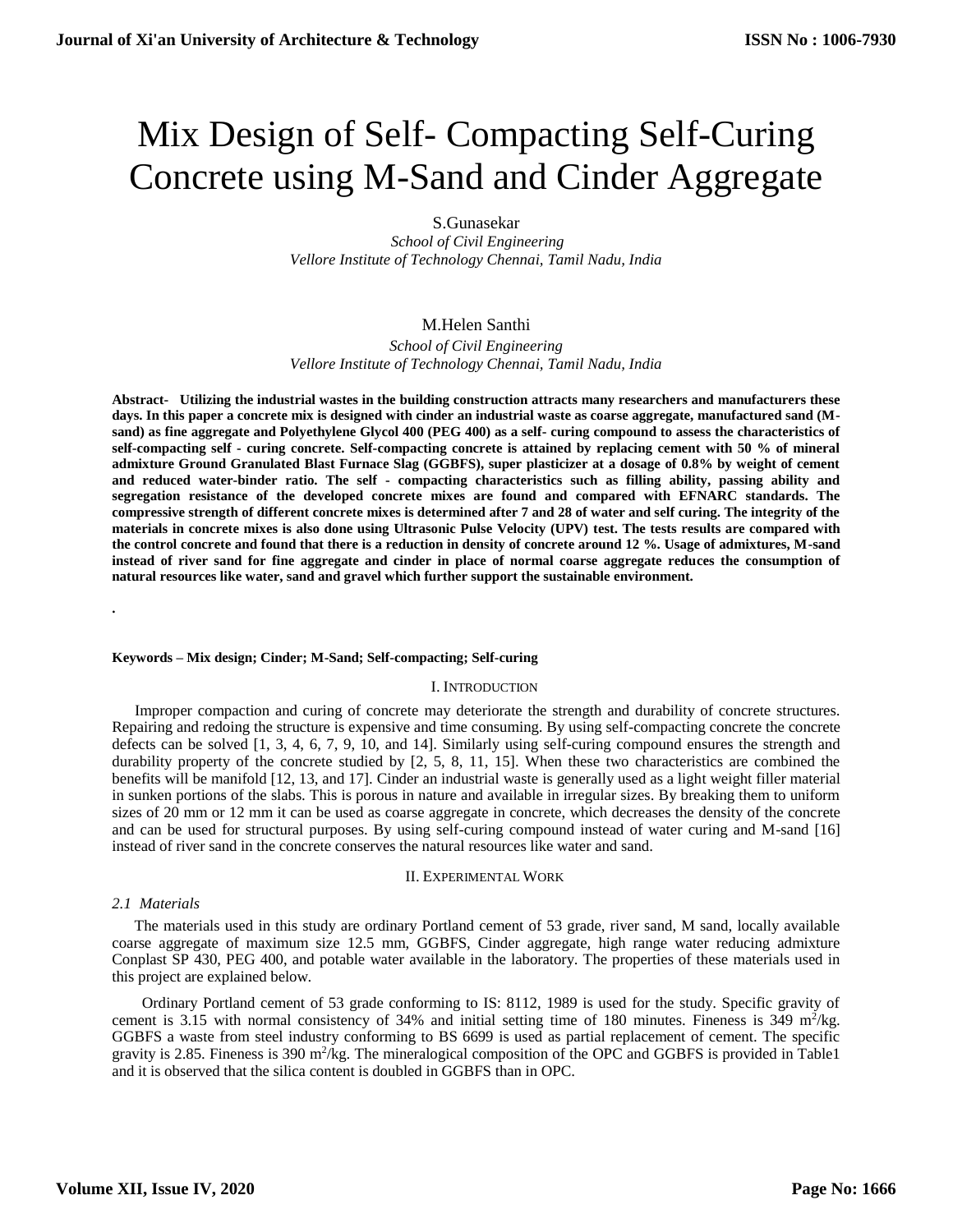# Mix Design of Self- Compacting Self-Curing Concrete using M-Sand and Cinder Aggregate

S.Gunasekar

*School of Civil Engineering Vellore Institute of Technology Chennai, Tamil Nadu, India*

# M.Helen Santhi

*School of Civil Engineering Vellore Institute of Technology Chennai, Tamil Nadu, India*

**Abstract- Utilizing the industrial wastes in the building construction attracts many researchers and manufacturers these days. In this paper a concrete mix is designed with cinder an industrial waste as coarse aggregate, manufactured sand (Msand) as fine aggregate and Polyethylene Glycol 400 (PEG 400) as a self- curing compound to assess the characteristics of self-compacting self - curing concrete. Self-compacting concrete is attained by replacing cement with 50 % of mineral admixture Ground Granulated Blast Furnace Slag (GGBFS), super plasticizer at a dosage of 0.8% by weight of cement and reduced water-binder ratio. The self - compacting characteristics such as filling ability, passing ability and segregation resistance of the developed concrete mixes are found and compared with EFNARC standards. The compressive strength of different concrete mixes is determined after 7 and 28 of water and self curing. The integrity of the materials in concrete mixes is also done using Ultrasonic Pulse Velocity (UPV) test. The tests results are compared with the control concrete and found that there is a reduction in density of concrete around 12 %. Usage of admixtures, M-sand instead of river sand for fine aggregate and cinder in place of normal coarse aggregate reduces the consumption of natural resources like water, sand and gravel which further support the sustainable environment.**

#### **Keywords – Mix design; Cinder; M-Sand; Self-compacting; Self-curing**

## I. INTRODUCTION

 Improper compaction and curing of concrete may deteriorate the strength and durability of concrete structures. Repairing and redoing the structure is expensive and time consuming. By using self-compacting concrete the concrete defects can be solved [1, 3, 4, 6, 7, 9, 10, and 14]. Similarly using self-curing compound ensures the strength and durability property of the concrete studied by [2, 5, 8, 11, 15]. When these two characteristics are combined the benefits will be manifold [12, 13, and 17]. Cinder an industrial waste is generally used as a light weight filler material in sunken portions of the slabs. This is porous in nature and available in irregular sizes. By breaking them to uniform sizes of 20 mm or 12 mm it can be used as coarse aggregate in concrete, which decreases the density of the concrete and can be used for structural purposes. By using self-curing compound instead of water curing and M-sand [16] instead of river sand in the concrete conserves the natural resources like water and sand.

#### II. EXPERIMENTAL WORK

## *2.1 Materials*

**.**

The materials used in this study are ordinary Portland cement of 53 grade, river sand, M sand, locally available coarse aggregate of maximum size 12.5 mm, GGBFS, Cinder aggregate, high range water reducing admixture Conplast SP 430, PEG 400, and potable water available in the laboratory. The properties of these materials used in this project are explained below.

 Ordinary Portland cement of 53 grade conforming to IS: 8112, 1989 is used for the study. Specific gravity of cement is 3.15 with normal consistency of 34% and initial setting time of 180 minutes. Fineness is 349 m<sup>2</sup>/kg. GGBFS a waste from steel industry conforming to BS 6699 is used as partial replacement of cement. The specific gravity is 2.85. Fineness is 390  $m^2/kg$ . The mineralogical composition of the OPC and GGBFS is provided in Table1 and it is observed that the silica content is doubled in GGBFS than in OPC.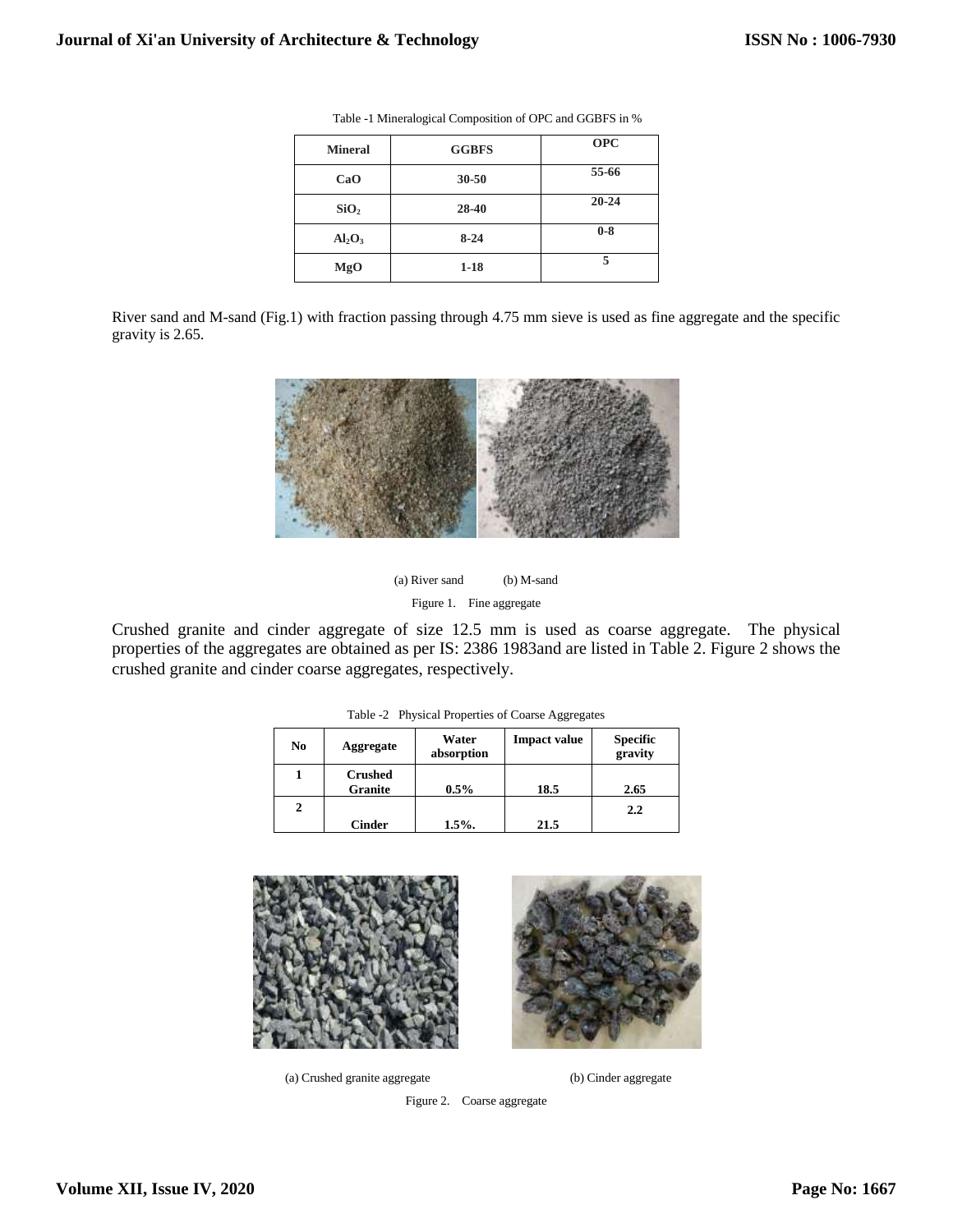| <b>Mineral</b>                 | <b>GGBFS</b> | <b>OPC</b> |
|--------------------------------|--------------|------------|
| CaO                            | $30 - 50$    | 55-66      |
| SiO <sub>2</sub>               | 28-40        | $20 - 24$  |
| Al <sub>2</sub> O <sub>3</sub> | $8 - 24$     | $0-8$      |
| MgO                            | $1 - 18$     | 5          |

Table -1 Mineralogical Composition of OPC and GGBFS in %

River sand and M-sand (Fig.1) with fraction passing through 4.75 mm sieve is used as fine aggregate and the specific gravity is 2.65.



(a) River sand (b) M-sand Figure 1. Fine aggregate

Crushed granite and cinder aggregate of size 12.5 mm is used as coarse aggregate. The physical properties of the aggregates are obtained as per IS: 2386 1983and are listed in Table 2. Figure 2 shows the crushed granite and cinder coarse aggregates, respectively.

| N <sub>0</sub> | Aggregate                        | Water<br>absorption | <b>Impact value</b> | <b>Specific</b><br>gravity |
|----------------|----------------------------------|---------------------|---------------------|----------------------------|
|                | <b>Crushed</b><br><b>Granite</b> | $0.5\%$             | 18.5                | 2.65                       |
|                |                                  |                     |                     | 2.2                        |
|                | <b>Cinder</b>                    | 1.5%                | 21.5                |                            |

Table -2 Physical Properties of Coarse Aggregates







Figure 2. Coarse aggregate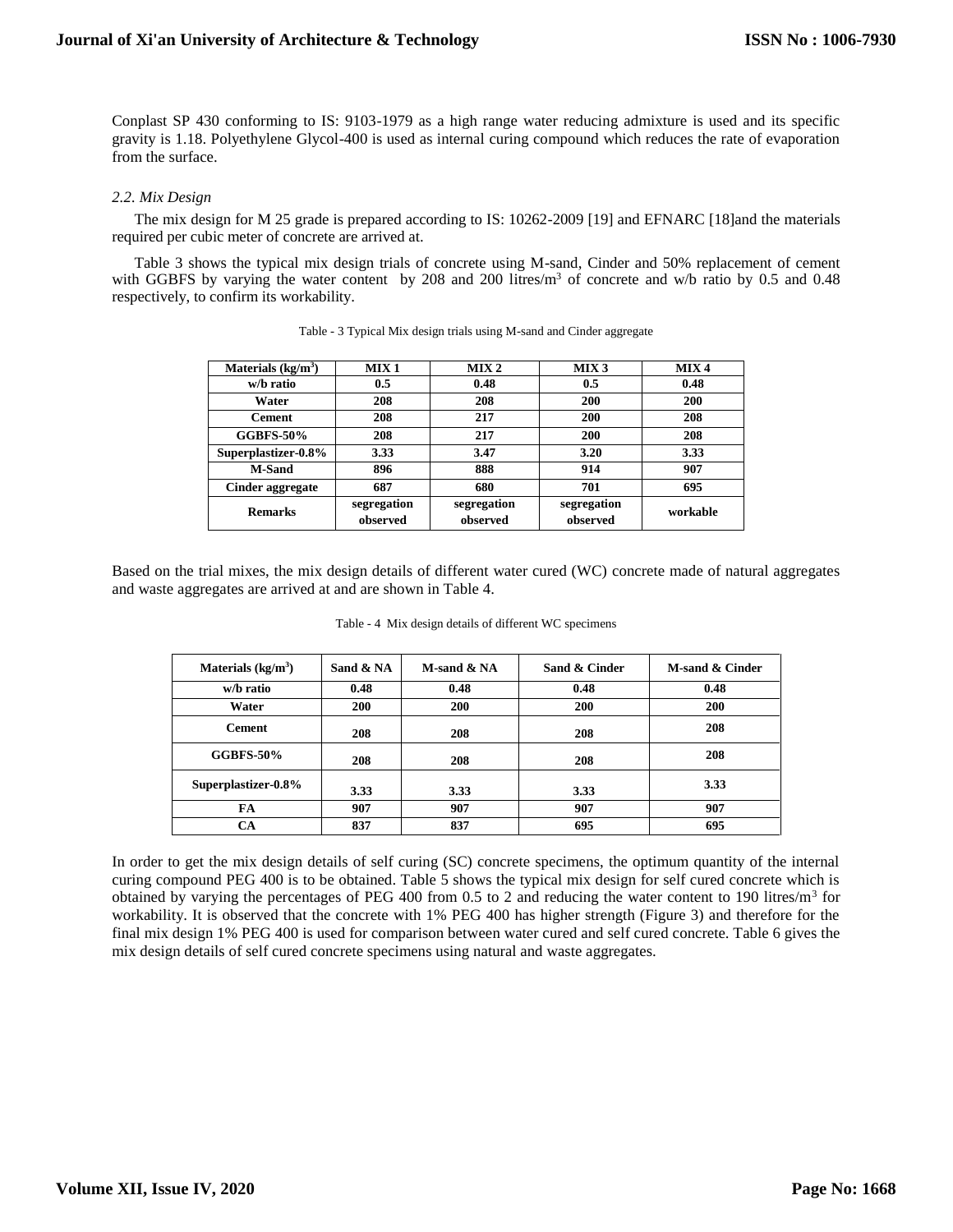Conplast SP 430 conforming to IS: 9103-1979 as a high range water reducing admixture is used and its specific gravity is 1.18. Polyethylene Glycol-400 is used as internal curing compound which reduces the rate of evaporation from the surface.

### *2.2. Mix Design*

The mix design for M 25 grade is prepared according to IS: 10262-2009 [19] and EFNARC [18]and the materials required per cubic meter of concrete are arrived at.

Table 3 shows the typical mix design trials of concrete using M-sand, Cinder and 50% replacement of cement with GGBFS by varying the water content by 208 and 200 litres/m<sup>3</sup> of concrete and w/b ratio by 0.5 and 0.48 respectively, to confirm its workability.

| Materials $(kg/m3)$ | MIX <sub>1</sub>        | MIX <sub>2</sub>        | MIX <sub>3</sub>        | MIX <sub>4</sub> |
|---------------------|-------------------------|-------------------------|-------------------------|------------------|
| w/b ratio           | 0.5                     | 0.48                    | 0.5                     | 0.48             |
| Water               | 208                     | 208                     | 200                     | 200              |
| <b>Cement</b>       | 208                     | 217                     | 200                     | 208              |
| <b>GGBFS-50%</b>    | 208                     | 217                     | <b>200</b>              | 208              |
| Superplastizer-0.8% | 3.33                    | 3.47                    | 3.20                    | 3.33             |
| <b>M-Sand</b>       | 896                     | 888                     | 914                     | 907              |
| Cinder aggregate    | 687                     | 680                     | 701                     | 695              |
| <b>Remarks</b>      | segregation<br>observed | segregation<br>observed | segregation<br>observed | workable         |

|  |  |  | Table - 3 Typical Mix design trials using M-sand and Cinder aggregate |  |  |
|--|--|--|-----------------------------------------------------------------------|--|--|
|  |  |  |                                                                       |  |  |

Based on the trial mixes, the mix design details of different water cured (WC) concrete made of natural aggregates and waste aggregates are arrived at and are shown in Table 4.

|  |  | Table - 4 Mix design details of different WC specimens |  |
|--|--|--------------------------------------------------------|--|
|  |  |                                                        |  |

| Materials $(kg/m3)$ | Sand & NA | $M$ -sand $\& N$ A | Sand & Cinder | M-sand & Cinder |
|---------------------|-----------|--------------------|---------------|-----------------|
| w/b ratio           | 0.48      | 0.48               | 0.48          | 0.48            |
| Water               | 200       | 200                | 200           | 200             |
| <b>Cement</b>       | 208       | 208                | 208           | 208             |
| <b>GGBFS-50%</b>    | 208       | 208                | 208           | 208             |
| Superplastizer-0.8% | 3.33      | 3.33               | 3.33          | 3.33            |
| FA                  | 907       | 907                | 907           | 907             |
| CА                  | 837       | 837                | 695           | 695             |

In order to get the mix design details of self curing (SC) concrete specimens, the optimum quantity of the internal curing compound PEG 400 is to be obtained. Table 5 shows the typical mix design for self cured concrete which is obtained by varying the percentages of PEG 400 from 0.5 to 2 and reducing the water content to 190 litres/ $m<sup>3</sup>$  for workability. It is observed that the concrete with 1% PEG 400 has higher strength (Figure 3) and therefore for the final mix design 1% PEG 400 is used for comparison between water cured and self cured concrete. Table 6 gives the mix design details of self cured concrete specimens using natural and waste aggregates.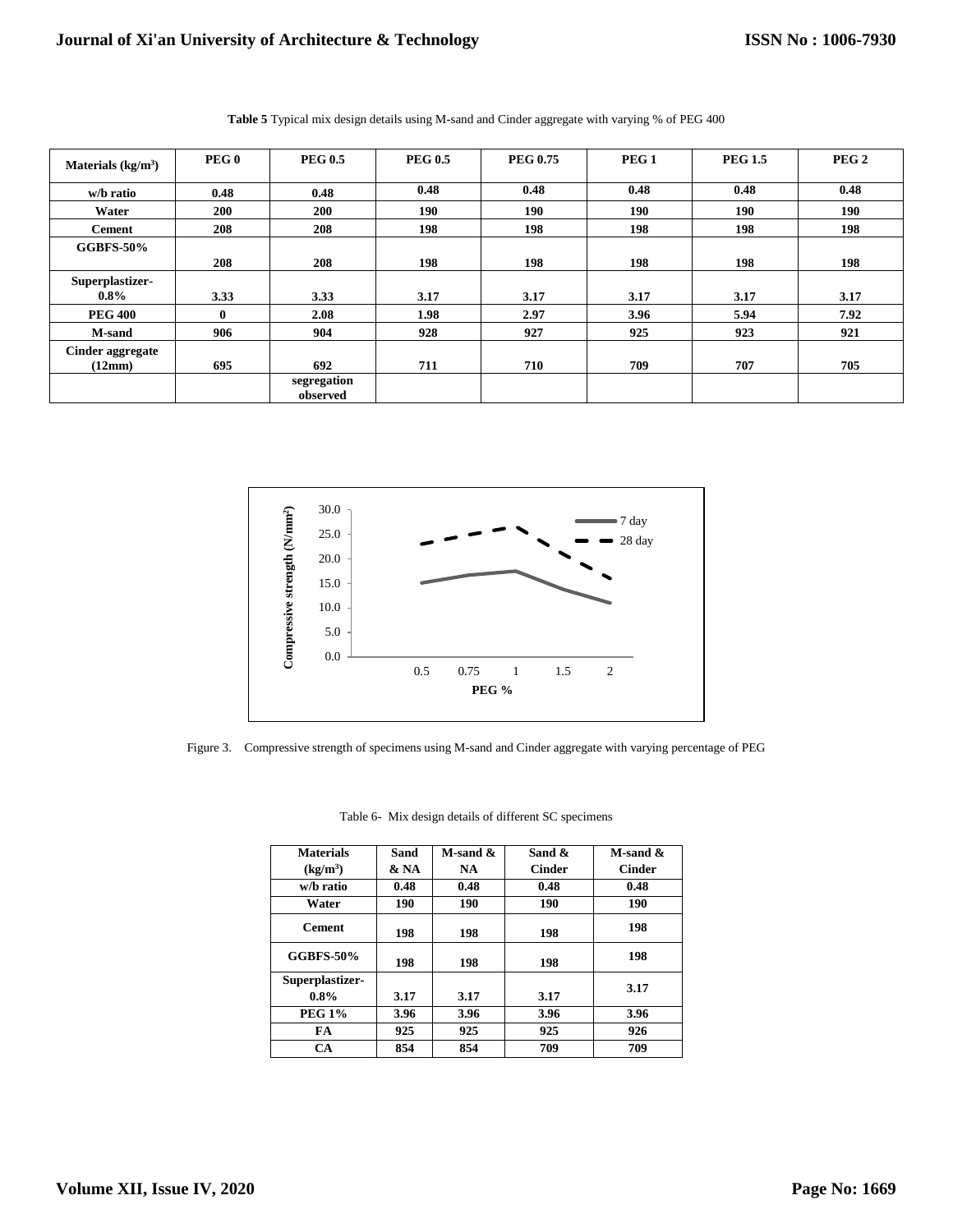| Materials $(kg/m3)$        | PEG <sub>0</sub> | <b>PEG 0.5</b>          | <b>PEG 0.5</b> | <b>PEG 0.75</b> | PEG <sub>1</sub> | <b>PEG 1.5</b> | PEG <sub>2</sub> |
|----------------------------|------------------|-------------------------|----------------|-----------------|------------------|----------------|------------------|
| w/b ratio                  | 0.48             | 0.48                    | 0.48           | 0.48            | 0.48             | 0.48           | 0.48             |
| Water                      | <b>200</b>       | <b>200</b>              | 190            | 190             | 190              | 190            | 190              |
| <b>Cement</b>              | 208              | 208                     | 198            | 198             | 198              | 198            | 198              |
| <b>GGBFS-50%</b>           |                  |                         |                |                 |                  |                |                  |
|                            | 208              | 208                     | 198            | 198             | 198              | 198            | 198              |
| Superplastizer-<br>$0.8\%$ | 3.33             | 3.33                    | 3.17           | 3.17            | 3.17             | 3.17           | 3.17             |
| <b>PEG 400</b>             | $\bf{0}$         | 2.08                    | 1.98           | 2.97            | 3.96             | 5.94           | 7.92             |
| <b>M-sand</b>              | 906              | 904                     | 928            | 927             | 925              | 923            | 921              |
| Cinder aggregate<br>(12mm) | 695              | 692                     | 711            | 710             | 709              | 707            | 705              |
|                            |                  | segregation<br>observed |                |                 |                  |                |                  |

**Table 5** Typical mix design details using M-sand and Cinder aggregate with varying % of PEG 400



Figure 3. Compressive strength of specimens using M-sand and Cinder aggregate with varying percentage of PEG

| <b>Materials</b>           | Sand | $M$ -sand $\&$ | Sand &        | $M$ -sand $\&$ |
|----------------------------|------|----------------|---------------|----------------|
| (kg/m <sup>3</sup> )       | & NA | NA.            | <b>Cinder</b> | <b>Cinder</b>  |
| w/b ratio                  | 0.48 | 0.48           | 0.48          | 0.48           |
| Water                      | 190  | 190            | 190           | 190            |
| <b>Cement</b>              | 198  | 198            | 198           | 198            |
| <b>GGBFS-50%</b>           | 198  | 198            | 198           | 198            |
| Superplastizer-<br>$0.8\%$ | 3.17 | 3.17           | 3.17          | 3.17           |
| <b>PEG 1%</b>              | 3.96 | 3.96           | 3.96          | 3.96           |
| FA                         | 925  | 925            | 925           | 926            |
| <b>CA</b>                  | 854  | 854            | 709           | 709            |

Table 6- Mix design details of different SC specimens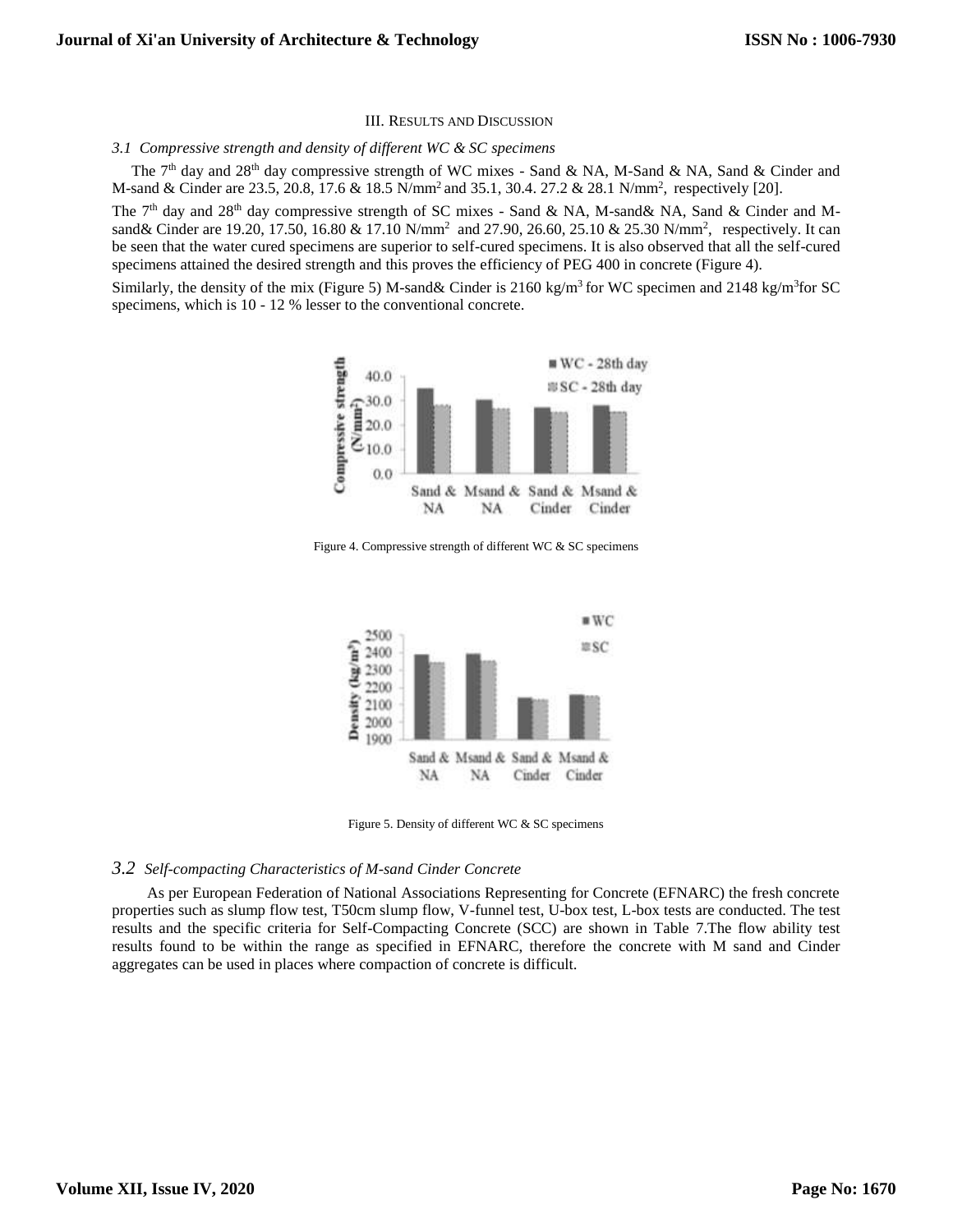#### III. RESULTS AND DISCUSSION

#### *3.1 Compressive strength and density of different WC & SC specimens*

The 7<sup>th</sup> day and 28<sup>th</sup> day compressive strength of WC mixes - Sand & NA, M-Sand & NA, Sand & Cinder and M-sand & Cinder are 23.5, 20.8, 17.6 & 18.5 N/mm<sup>2</sup> and 35.1, 30.4. 27.2 & 28.1 N/mm<sup>2</sup>, respectively [20].

The 7<sup>th</sup> day and 28<sup>th</sup> day compressive strength of SC mixes - Sand & NA, M-sand & NA, Sand & Cinder and Msand & Cinder are 19.20, 17.50, 16.80 & 17.10 N/mm<sup>2</sup> and 27.90, 26.60, 25.10 & 25.30 N/mm<sup>2</sup>, respectively. It can be seen that the water cured specimens are superior to self-cured specimens. It is also observed that all the self-cured specimens attained the desired strength and this proves the efficiency of PEG 400 in concrete (Figure 4).

Similarly, the density of the mix (Figure 5) M-sand & Cinder is 2160 kg/m<sup>3</sup> for WC specimen and 2148 kg/m<sup>3</sup> for SC specimens, which is 10 - 12 % lesser to the conventional concrete.



Figure 4. Compressive strength of different WC & SC specimens



Figure 5. Density of different WC & SC specimens

#### *3.2 Self-compacting Characteristics of M-sand Cinder Concrete*

As per European Federation of National Associations Representing for Concrete (EFNARC) the fresh concrete properties such as slump flow test, T50cm slump flow, V-funnel test, U-box test, L-box tests are conducted. The test results and the specific criteria for Self-Compacting Concrete (SCC) are shown in Table 7.The flow ability test results found to be within the range as specified in EFNARC, therefore the concrete with M sand and Cinder aggregates can be used in places where compaction of concrete is difficult.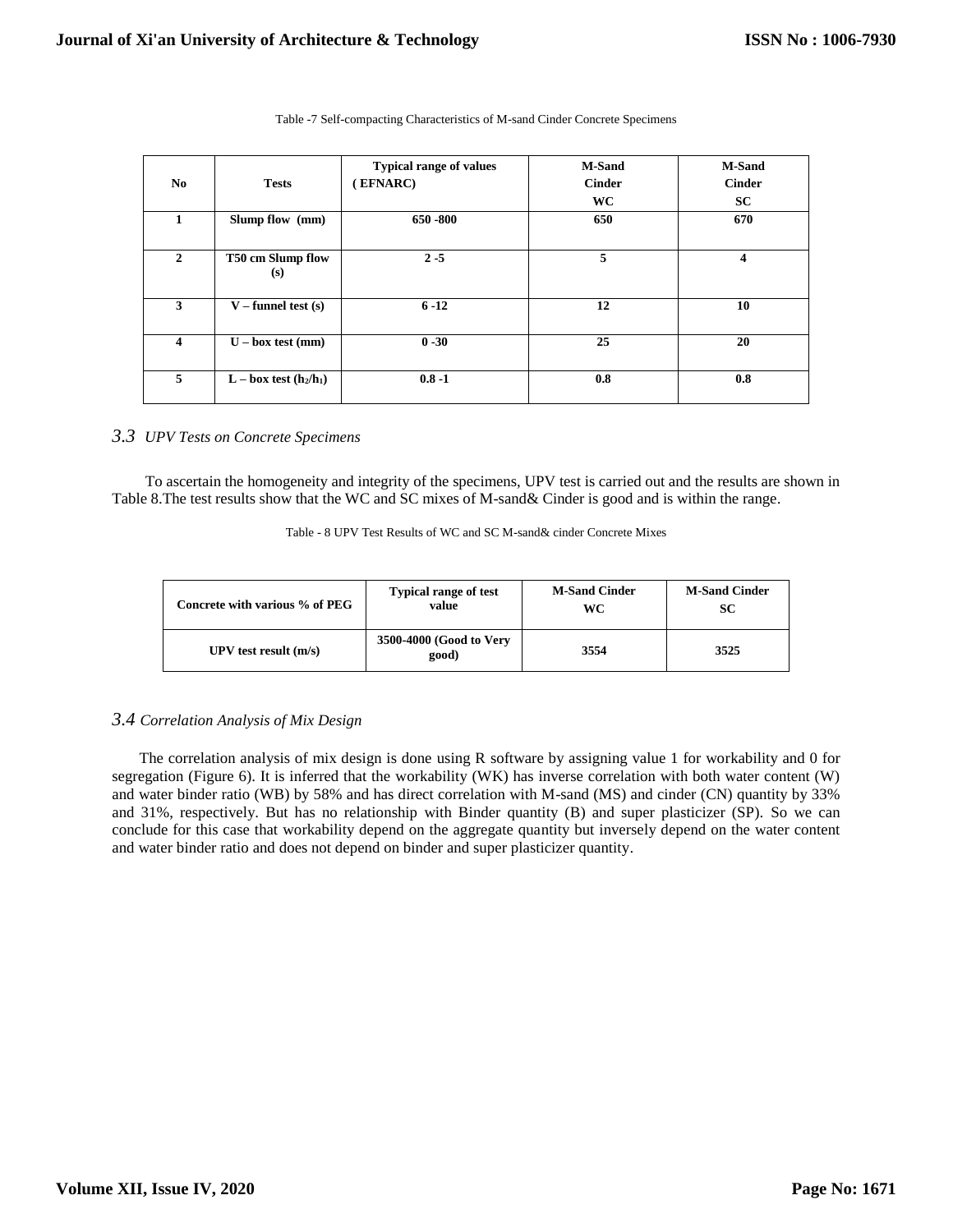| No           | <b>Tests</b>             | <b>Typical range of values</b><br>EFNARC) | <b>M-Sand</b><br><b>Cinder</b><br><b>WC</b> | <b>M-Sand</b><br><b>Cinder</b><br><b>SC</b> |
|--------------|--------------------------|-------------------------------------------|---------------------------------------------|---------------------------------------------|
| 1            | Slump flow (mm)          | 650 - 800                                 | 650                                         | 670                                         |
| $\mathbf{2}$ | T50 cm Slump flow<br>(s) | $2 - 5$                                   | 5                                           | 4                                           |
| 3            | $V$ – funnel test (s)    | $6 - 12$                                  | 12                                          | 10                                          |
| 4            | $U - box test (mm)$      | $0 - 30$                                  | 25                                          | 20                                          |
| 5            | $L - box$ test $(h2/h1)$ | $0.8 - 1$                                 | 0.8                                         | 0.8                                         |

Table -7 Self-compacting Characteristics of M-sand Cinder Concrete Specimens

## *3.3 UPV Tests on Concrete Specimens*

To ascertain the homogeneity and integrity of the specimens, UPV test is carried out and the results are shown in Table 8.The test results show that the WC and SC mixes of M-sand& Cinder is good and is within the range.

|  |  |  | Table - 8 UPV Test Results of WC and SC M-sand & cinder Concrete Mixes |
|--|--|--|------------------------------------------------------------------------|
|--|--|--|------------------------------------------------------------------------|

| Concrete with various % of PEG | <b>Typical range of test</b>     | <b>M-Sand Cinder</b> | <b>M-Sand Cinder</b> |
|--------------------------------|----------------------------------|----------------------|----------------------|
|                                | value                            | WС                   | SС                   |
| UPV test result $(m/s)$        | 3500-4000 (Good to Very<br>good) | 3554                 | 3525                 |

# *3.4 Correlation Analysis of Mix Design*

 The correlation analysis of mix design is done using R software by assigning value 1 for workability and 0 for segregation (Figure 6). It is inferred that the workability (WK) has inverse correlation with both water content (W) and water binder ratio (WB) by 58% and has direct correlation with M-sand (MS) and cinder (CN) quantity by 33% and 31%, respectively. But has no relationship with Binder quantity (B) and super plasticizer (SP). So we can conclude for this case that workability depend on the aggregate quantity but inversely depend on the water content and water binder ratio and does not depend on binder and super plasticizer quantity.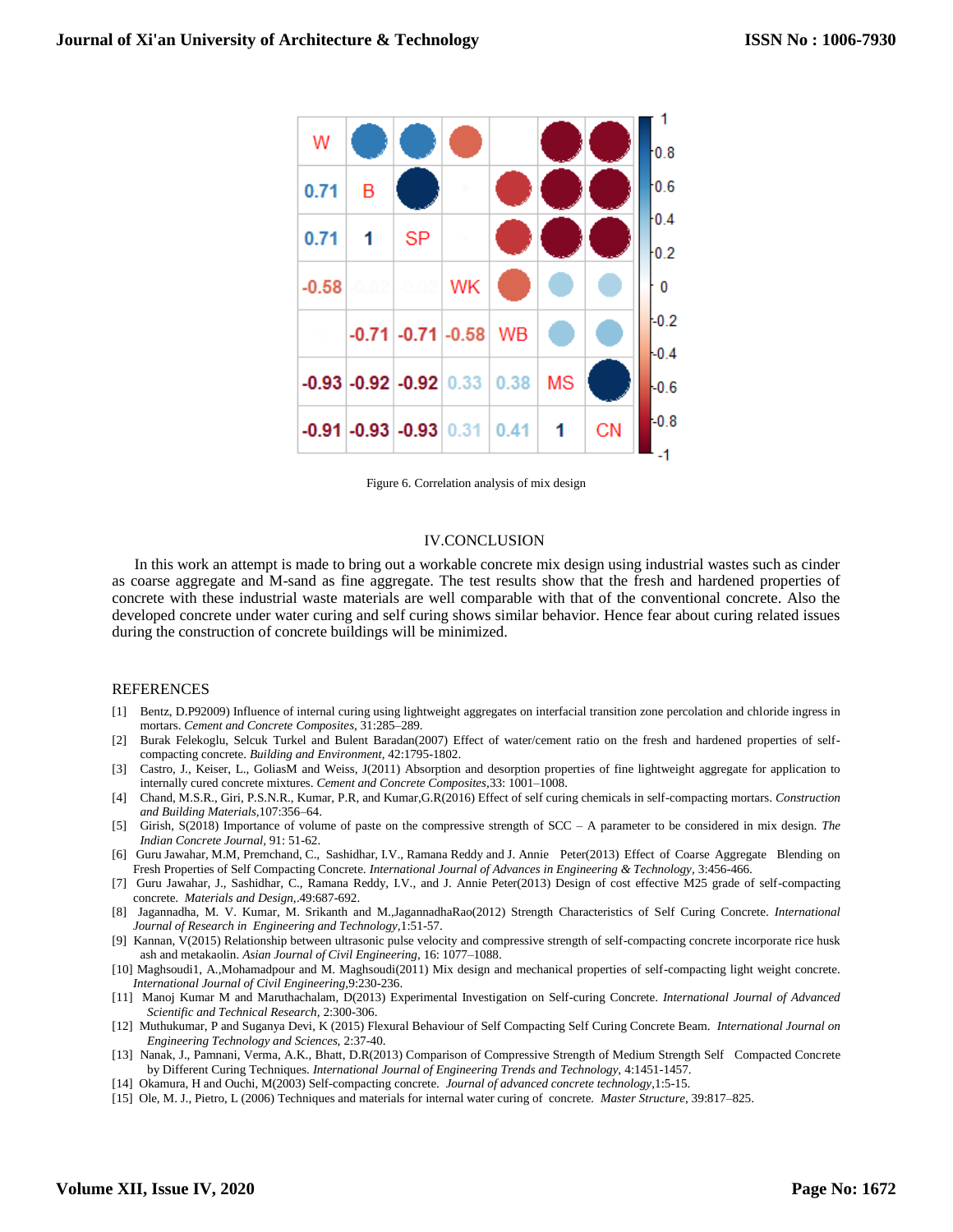

Figure 6. Correlation analysis of mix design

#### IV.CONCLUSION

In this work an attempt is made to bring out a workable concrete mix design using industrial wastes such as cinder as coarse aggregate and M-sand as fine aggregate. The test results show that the fresh and hardened properties of concrete with these industrial waste materials are well comparable with that of the conventional concrete. Also the developed concrete under water curing and self curing shows similar behavior. Hence fear about curing related issues during the construction of concrete buildings will be minimized.

#### REFERENCES

- [1] Bentz, D.P92009) Influence of internal curing using lightweight aggregates on interfacial transition zone percolation and chloride ingress in mortars. *Cement and Concrete Composites*, 31:285–289.
- [2] Burak Felekoglu, Selcuk Turkel and Bulent Baradan(2007) Effect of water/cement ratio on the fresh and hardened properties of selfcompacting concrete. *Building and Environment*, 42:1795-1802.
- [3] Castro, J., Keiser, L., GoliasM and Weiss, J(2011) Absorption and desorption properties of fine lightweight aggregate for application to internally cured concrete mixtures. *Cement and Concrete Composites,*33: 1001–1008.
- [4] Chand, M.S.R., Giri, P.S.N.R., Kumar, P.R, and Kumar,G.R(2016) Effect of self curing chemicals in self-compacting mortars. *Construction and Building Materials,*107:356–64.
- [5] Girish, S(2018) Importance of volume of paste on the compressive strength of SCC A parameter to be considered in mix design. *The Indian Concrete Journal,* 91: 51-62.
- [6] Guru Jawahar, M.M, Premchand, C., Sashidhar, I.V., Ramana Reddy and J. Annie Peter(2013) Effect of Coarse Aggregate Blending on Fresh Properties of Self Compacting Concrete. *International Journal of Advances in Engineering & Technology,* 3:456-466.
- [7] Guru Jawahar, J., Sashidhar, C., Ramana Reddy, I.V., and J. Annie Peter(2013) Design of cost effective M25 grade of self-compacting concrete. *Materials and Design,*.49:687-692.
- [8] Jagannadha, M. V. Kumar, M. Srikanth and M.,JagannadhaRao(2012) Strength Characteristics of Self Curing Concrete. *International Journal of Research in Engineering and Technology,*1:51-57.
- [9] Kannan, V(2015) Relationship between ultrasonic pulse velocity and compressive strength of self-compacting concrete incorporate rice husk ash and metakaolin. *Asian Journal of Civil Engineering,* 16: 1077–1088.
- [10] Maghsoudi1, A.,Mohamadpour and M. Maghsoudi(2011) Mix design and mechanical properties of self-compacting light weight concrete. *International Journal of Civil Engineering,*9:230-236.
- [11] Manoj Kumar M and Maruthachalam, D(2013) Experimental Investigation on Self-curing Concrete. *International Journal of Advanced Scientific and Technical Research,* 2:300-306.
- [12] Muthukumar, P and Suganya Devi, K (2015) Flexural Behaviour of Self Compacting Self Curing Concrete Beam. *International Journal on Engineering Technology and Sciences,* 2:37-40.
- [13] Nanak, J., Pamnani, Verma, A.K., Bhatt, D.R(2013) Comparison of Compressive Strength of Medium Strength Self Compacted Concrete by Different Curing Techniques. *International Journal of Engineering Trends and Technology,* 4:1451-1457.
- [14] Okamura, H and Ouchi, M(2003) Self-compacting concrete. *Journal of advanced concrete technology,*1:5-15.
- [15] Ole, M. J., Pietro, L (2006) Techniques and materials for internal water curing of concrete*. Master Structure*, 39:817–825.